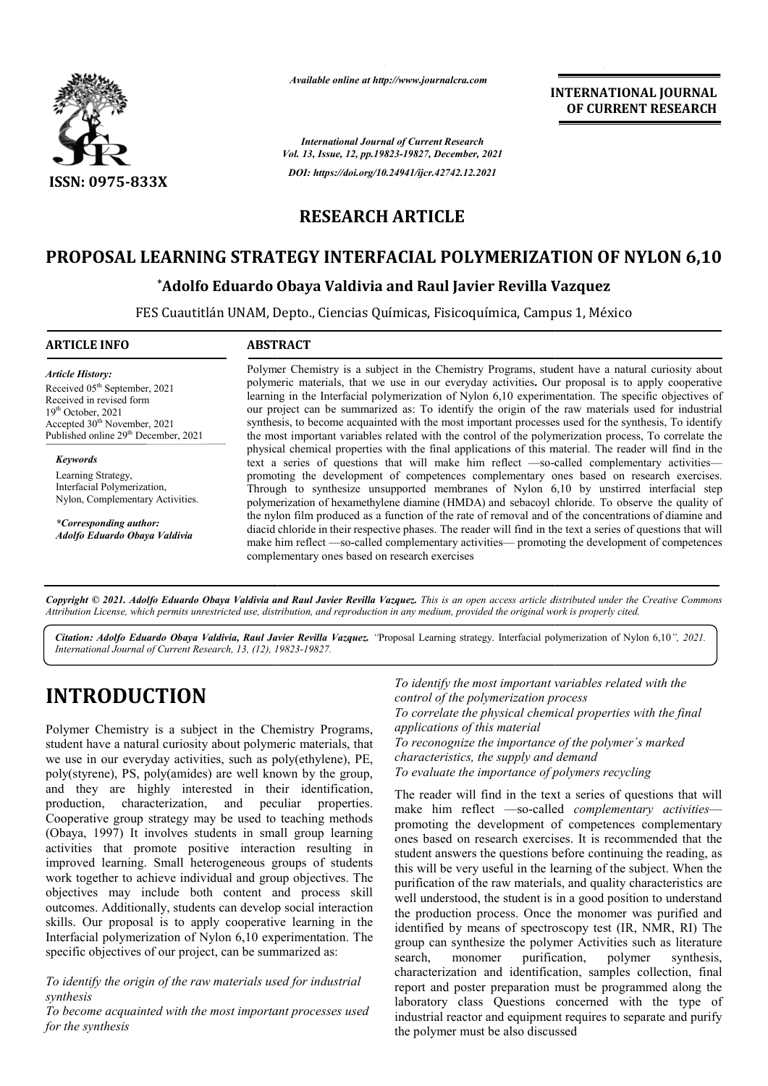

*Available online at http://www.journalcra.com*

**INTERNATIONAL JOURNAL OF CURRENT RESEARCH**

*International Journal of Current Research Vol. 13, Issue, 12, pp.19823-19827, December, 2021 DOI: https://doi.org/10.24941/ijcr.42742.12.2021*

## **RESEARCH ARTICLE**

## **PROPOSAL LEARNING STRATEGY INTERFACIAL POLYMERIZATION OF NYLON 6,10 LEARNING**

## **\*Adolfo Eduardo Obaya Valdivia Adolfo and Raul Javier Revilla Vazquez**

FES Cuautitlán UNAM, Depto., Ciencias Químicas, Fisicoquímica, Campus 1, México Cuautitlán UNAM,

## **ARTICLE INFO ABSTRACT**

*Article History: ArticleHistory:Article History:* Received 05<sup>th</sup> September, 2021 Received in revised form Received in revised form Received in revised form  $19<sup>th</sup> October, 2021$ Accepted  $30<sup>th</sup>$  November, 2021 Published online 29<sup>th</sup> December, 2021

*Keywords* Learning Strategy, Interfacial Polymerization, Nylon, Complementary Activities.

*\*Corresponding author: Adolfo Eduardo Obaya Valdivia*

Polymer Chemistry is a subject in the Chemistry Programs, student have a natural curiosity about Polymer Chemistry is a subject in the Chemistry Programs, student have a natural curiosity about polymeric materials, that we use in our everyday activities. Our proposal is to apply cooperative learning in the Interfacial polymerization of Nylon 6,10 experimentation. The specific objectives of our project can be summarized as: To identify the origin of the raw materials used for industrial synthesis, to become acquainted with the most important processes used for the synthesis, To identify the most important variables related with the control of the polymerization process, To correlate the physical chemical properties with the final applications of this material. The reader w text a series of questions that will make him reflect —so-called complementary activities promoting the development of competences complementary ones based on research exercises. promoting the development of competences complementary ones based on research exercises.<br>Through to synthesize unsupported membranes of Nylon 6,10 by unstirred interfacial step polymerization of hexamethylene diamine (HMDA) and sebacoyl chloride. To observe the quality of the nylon film produced as a function of the rate of removal and of the concentrations of diamine and diacid chloride in their respective phases. The reader will find in the text a series of questions that will make him reflect —so-called complementary activities— promoting the development of competences complementary ones based on research exercises learning in the Interfacial polymerization of Nylon 6,10 experimentation. The specific objectives of our project can be summarized as: To identify the origin of the raw materials used for industrial synthesis, to become ac

Copyright © 2021. Adolfo Eduardo Obaya Valdivia and Raul Javier Revilla Vazquez. This is an open access article distributed under the Creative Commons Attribution License, which permits unrestricted use, distribution, and reproduction in any medium, provided the original work is properly cited.

Citation: Adolfo Eduardo Obaya Valdivia, Raul Javier Revilla Vazquez. "Proposal Learning strategy. Interfacial polymerization of Nylon 6,10", 2021. *International Journal of Current Research, 13, (12), 19823 19823-19827.*

# **INTRODUCTION**

Polymer Chemistry is a subject in the Chemistry Programs, student have a natural curiosity about polymeric materials, that we use in our everyday activities, such as poly(ethylene), PE, poly(styrene), PS, poly(amides) are well known by the group, and they are highly interested in their identification, production, characterization, and peculiar properties. Cooperative group strategy may be used to teaching methods (Obaya, 1997) It involves students in small group learning activities that promote positive interaction resulting in improved learning. Small heterogeneous groups of students work together to achieve individual and group objectives. The objectives may include both content and process skill outcomes. Additionally, students can develop social interaction skills. Our proposal is to apply cooperative learning in the Interfacial polymerization of Nylon 6,10 experimentation. The specific objectives of our project, can be summarized as:

*To identify the origin of the raw materials used for industrial synthesis*

*To become acquainted with the most important processes used for the synthesis*

*To identify the most important variables related with the control of the polymerization process To correlate the physical chemical properties with the final control of the polymerization processrrelate applications of this material To reconognize the importance of the polymer´s marked characteristics, the supply and demand To evaluate the importance of polymers recycling*

The reader will find in the text a series of questions that will The reader will find in the text a series of questions that will<br>make him reflect —so-called *complementary activities* promoting the development of competences complementary ones based on research exercises. It is recommended that the student answers the questions before continuing the reading, as this will be very useful in the learning of the subject purification of the raw materials, and quality characteristics are well understood, the student is in a good position to understand the production process. Once the monomer was purified and purification of the raw materials, and quality characteristics are well understood, the student is in a good position to understand the production process. Once the monomer was purified and identified by means of spectrosc group can synthesize the polymer Activities such as literature search, monomer purification, polymer synthesis, search, monomer purification, polymer synthesis, characterization and identification, samples collection, final report and poster preparation must be programmed along the laboratory class Questions concerned with the type of industrial reactor and equipment requires to separate and purify the polymer must be also discussed the development of competences complementary<br>on research exercises. It is recommended that the<br>wers the questions before continuing the reading, as<br>very useful in the learning of the subject. When the **INTERNATIONAL FOUNDAL FOUNDAL FOUNDAL CONTROL**<br>
of CURRENT RESEARCH<br>
SP1927, December, 2021<br>
494167, there the specifical programme along reaction products are propriated as<br>
49416-42742.12.2021<br> **ARTICLE**<br> **ARTICLE**<br> **A**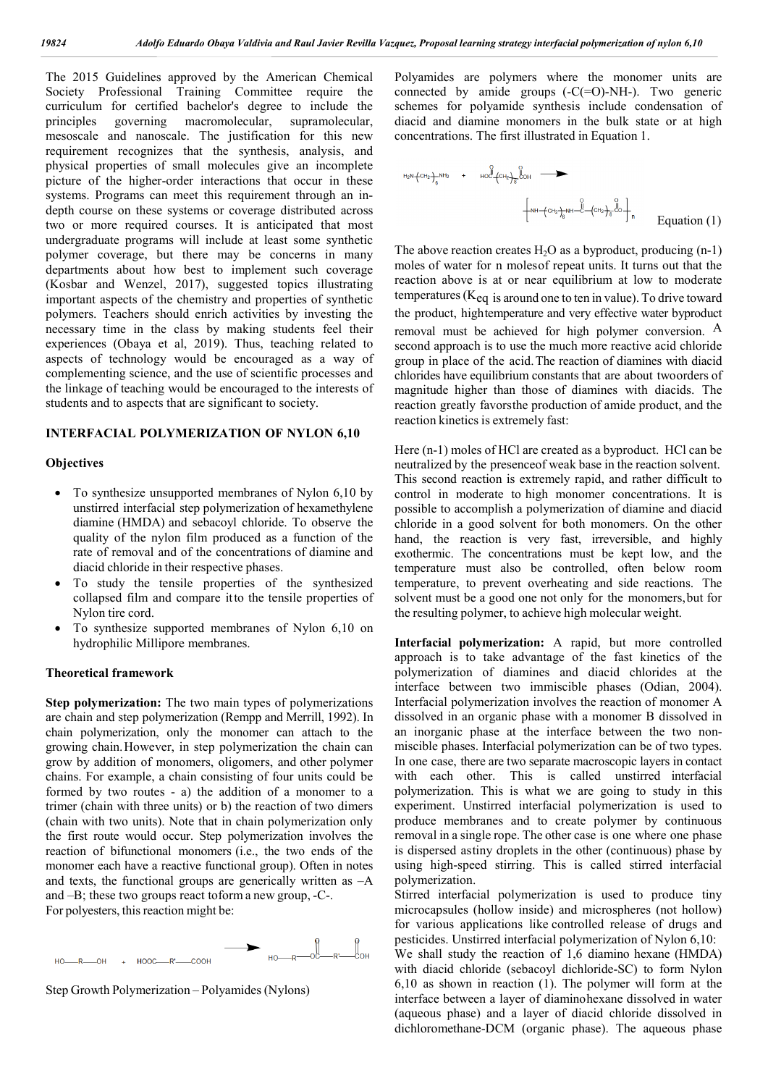The 2015 Guidelines approved by the American Chemical Society Professional Training Committee require the curriculum for certified bachelor's degree to include the principles governing macromolecular, supramolecular, mesoscale and nanoscale. The justification for this new requirement recognizes that the synthesis, analysis, and physical properties of small molecules give an incomplete picture of the higher-order interactions that occur in these systems. Programs can meet this requirement through an indepth course on these systems or coverage distributed across two or more required courses. It is anticipated that most undergraduate programs will include at least some synthetic polymer coverage, but there may be concerns in many departments about how best to implement such coverage (Kosbar and Wenzel, 2017), suggested topics illustrating important aspects of the chemistry and properties of synthetic polymers. Teachers should enrich activities by investing the necessary time in the class by making students feel their experiences (Obaya et al, 2019). Thus, teaching related to aspects of technology would be encouraged as a way of complementing science, and the use of scientific processes and the linkage of teaching would be encouraged to the interests of students and to aspects that are significant to society.

#### **INTERFACIAL POLYMERIZATION OF NYLON 6,10**

#### **Objectives**

- To synthesize unsupported membranes of Nylon 6,10 by unstirred interfacial step polymerization of hexamethylene diamine (HMDA) and sebacoyl chloride. To observe the quality of the nylon film produced as a function of the rate of removal and of the concentrations of diamine and diacid chloride in their respective phases.
- To study the tensile properties of the synthesized collapsed film and compare itto the tensile properties of Nylon tire cord.
- To synthesize supported membranes of Nylon 6,10 on hydrophilic Millipore membranes.

#### **Theoretical framework**

**Step polymerization:** The two main types of polymerizations are chain and step polymerization (Rempp and Merrill, 1992). In chain polymerization, only the monomer can attach to the growing chain.However, in step polymerization the chain can grow by addition of monomers, oligomers, and other polymer chains. For example, a chain consisting of four units could be formed by two routes - a) the addition of a monomer to a trimer (chain with three units) or b) the reaction of two dimers (chain with two units). Note that in chain polymerization only the first route would occur. Step polymerization involves the reaction of bifunctional monomers (i.e., the two ends of the monomer each have a reactive functional group). Often in notes and texts, the functional groups are generically written as –A and –B; these two groups react toform a new group, -C-. For polyesters, this reaction might be:



Step Growth Polymerization – Polyamides(Nylons)

Polyamides are polymers where the monomer units are connected by amide groups  $(-C(=O)-NH-)$ . Two generic schemes for polyamide synthesis include condensation of diacid and diamine monomers in the bulk state or at high concentrations. The first illustrated in Equation 1.

Equation (1)

The above reaction creates  $H_2O$  as a byproduct, producing  $(n-1)$ moles of water for n molesof repeat units. It turns out that the reaction above is at or near equilibrium at low to moderate temperatures ( $K_{eq}$  is around one to ten in value). To drive toward the product, hightemperature and very effective water byproduct removal must be achieved for high polymer conversion. A second approach is to use the much more reactive acid chloride group in place of the acid.The reaction of diamines with diacid chlorides have equilibrium constants that are about twoorders of magnitude higher than those of diamines with diacids. The reaction greatly favorsthe production of amide product, and the reaction kinetics is extremely fast:

Here (n-1) moles of HCl are created as a byproduct. HCl can be neutralized by the presenceof weak base in the reaction solvent. This second reaction is extremely rapid, and rather difficult to control in moderate to high monomer concentrations. It is possible to accomplish a polymerization of diamine and diacid chloride in a good solvent for both monomers. On the other hand, the reaction is very fast, irreversible, and highly exothermic. The concentrations must be kept low, and the temperature must also be controlled, often below room temperature, to prevent overheating and side reactions. The solvent must be a good one not only for the monomers,but for the resulting polymer, to achieve high molecular weight.

**Interfacial polymerization:** A rapid, but more controlled approach is to take advantage of the fast kinetics of the polymerization of diamines and diacid chlorides at the interface between two immiscible phases (Odian, 2004). Interfacial polymerization involves the reaction of monomer A dissolved in an organic phase with a monomer B dissolved in an inorganic phase at the interface between the two nonmiscible phases. Interfacial polymerization can be of two types. In one case, there are two separate macroscopic layers in contact with each other. This is called unstirred interfacial polymerization. This is what we are going to study in this experiment. Unstirred interfacial polymerization is used to produce membranes and to create polymer by continuous removal in a single rope. The other case is one where one phase is dispersed astiny droplets in the other (continuous) phase by using high-speed stirring. This is called stirred interfacial polymerization.

Stirred interfacial polymerization is used to produce tiny microcapsules (hollow inside) and microspheres (not hollow) for various applications like controlled release of drugs and pesticides. Unstirred interfacial polymerization of Nylon 6,10: We shall study the reaction of 1,6 diamino hexane (HMDA) with diacid chloride (sebacoyl dichloride-SC) to form Nylon 6,10 as shown in reaction (1). The polymer will form at the interface between a layer of diaminohexane dissolved in water (aqueous phase) and a layer of diacid chloride dissolved in dichloromethane-DCM (organic phase). The aqueous phase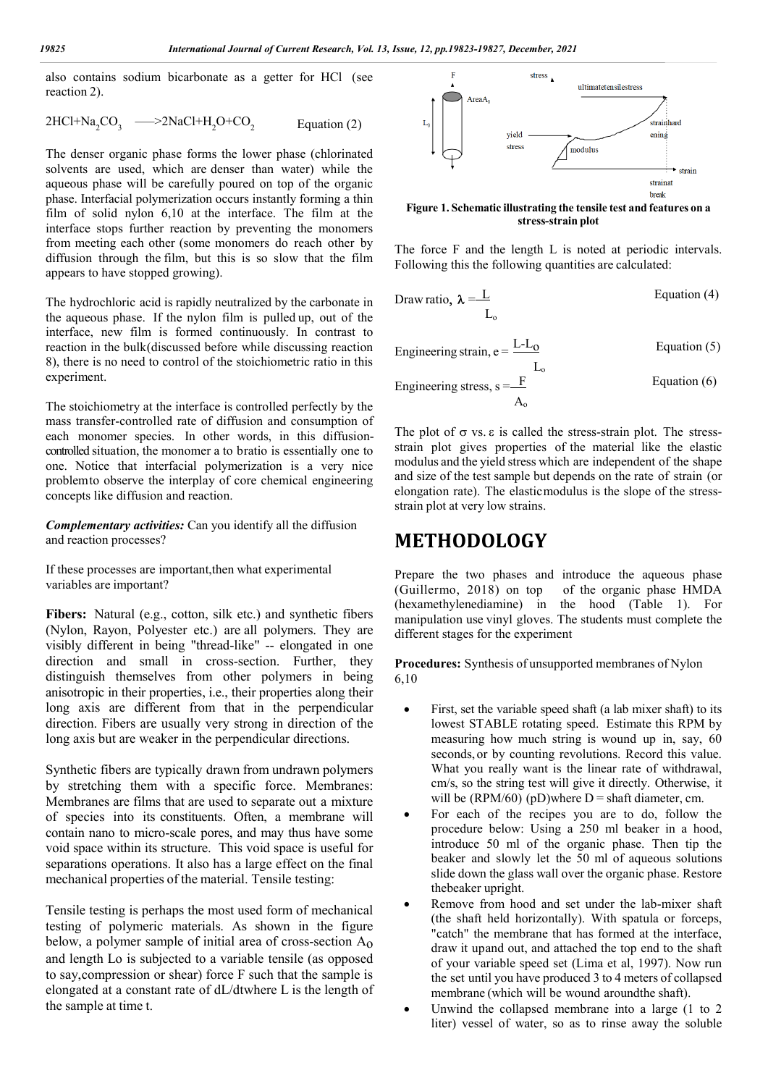also contains sodium bicarbonate as a getter for HCl (see reaction 2).

$$
2HCl+Na_2CO_3 \quad \longrightarrow 2NaCl+H_2O+CO_2 \qquad \text{Equation (2)}
$$

The denser organic phase forms the lower phase (chlorinated solvents are used, which are denser than water) while the aqueous phase will be carefully poured on top of the organic phase. Interfacial polymerization occurs instantly forming a thin film of solid nylon 6,10 at the interface. The film at the interface stops further reaction by preventing the monomers from meeting each other (some monomers do reach other by diffusion through the film, but this is so slow that the film appears to have stopped growing).

The hydrochloric acid is rapidly neutralized by the carbonate in the aqueous phase. If the nylon film is pulled up, out of the interface, new film is formed continuously. In contrast to reaction in the bulk(discussed before while discussing reaction 8), there is no need to control of the stoichiometric ratio in this experiment.

The stoichiometry at the interface is controlled perfectly by the mass transfer-controlled rate of diffusion and consumption of each monomer species. In other words, in this diffusioncontrolled situation, the monomer a to bratio is essentially one to one. Notice that interfacial polymerization is a very nice problemto observe the interplay of core chemical engineering concepts like diffusion and reaction.

*Complementary activities:* Can you identify all the diffusion and reaction processes?

If these processes are important,then what experimental variables are important?

**Fibers:** Natural (e.g., cotton, silk etc.) and synthetic fibers (Nylon, Rayon, Polyester etc.) are all polymers. They are visibly different in being "thread-like" -- elongated in one direction and small in cross-section. Further, they distinguish themselves from other polymers in being anisotropic in their properties, i.e., their properties along their long axis are different from that in the perpendicular direction. Fibers are usually very strong in direction of the long axis but are weaker in the perpendicular directions.

Synthetic fibers are typically drawn from undrawn polymers by stretching them with a specific force. Membranes: Membranes are films that are used to separate out a mixture of species into its constituents. Often, a membrane will contain nano to micro-scale pores, and may thus have some void space within its structure. This void space is useful for separations operations. It also has a large effect on the final mechanical properties of the material. Tensile testing:

Tensile testing is perhaps the most used form of mechanical testing of polymeric materials. As shown in the figure below, a polymer sample of initial area of cross-section  $A_0$ and length Lo is subjected to a variable tensile (as opposed to say,compression or shear) force F such that the sample is elongated at a constant rate of dL/dtwhere L is the length of the sample at time t.



**Figure 1. Schematic illustrating the tensile test and features on a stress-strain plot**

The force F and the length L is noted at periodic intervals. Following this the following quantities are calculated:

Draw ratio, 
$$
\lambda = \frac{L}{L_o}
$$
 Equation (4)

Engineering strain,  $e = L - L_0$  Equation (5)  $L_{\rm c}$ Engineering stress,  $s = \frac{F}{g}$  Equation (6)  $A_{\rm c}$ 

The plot of  $\sigma$  vs.  $\varepsilon$  is called the stress-strain plot. The stressstrain plot gives properties of the material like the elastic modulus and the yield stress which are independent of the shape and size of the test sample but depends on the rate of strain (or elongation rate). The elasticmodulus is the slope of the stressstrain plot at very low strains.

## **METHODOLOGY**

Prepare the two phases and introduce the aqueous phase (Guillermo, 2018) on top of the organic phase HMDA (hexamethylenediamine) in the hood (Table 1). For manipulation use vinyl gloves. The students must complete the different stages for the experiment

**Procedures:** Synthesis of unsupported membranes of Nylon 6,10

- First, set the variable speed shaft (a lab mixer shaft) to its lowest STABLE rotating speed. Estimate this RPM by measuring how much string is wound up in, say, 60 seconds,or by counting revolutions. Record this value. What you really want is the linear rate of withdrawal, cm/s, so the string test will give it directly. Otherwise, it will be (RPM/60) (pD)where  $D =$  shaft diameter, cm.
- For each of the recipes you are to do, follow the procedure below: Using a 250 ml beaker in a hood, introduce 50 ml of the organic phase. Then tip the beaker and slowly let the 50 ml of aqueous solutions slide down the glass wall over the organic phase. Restore thebeaker upright.
- Remove from hood and set under the lab-mixer shaft (the shaft held horizontally). With spatula or forceps, "catch" the membrane that has formed at the interface, draw it upand out, and attached the top end to the shaft of your variable speed set (Lima et al, 1997). Now run the set until you have produced 3 to 4 meters of collapsed membrane (which will be wound aroundthe shaft).
- Unwind the collapsed membrane into a large (1 to 2 liter) vessel of water, so as to rinse away the soluble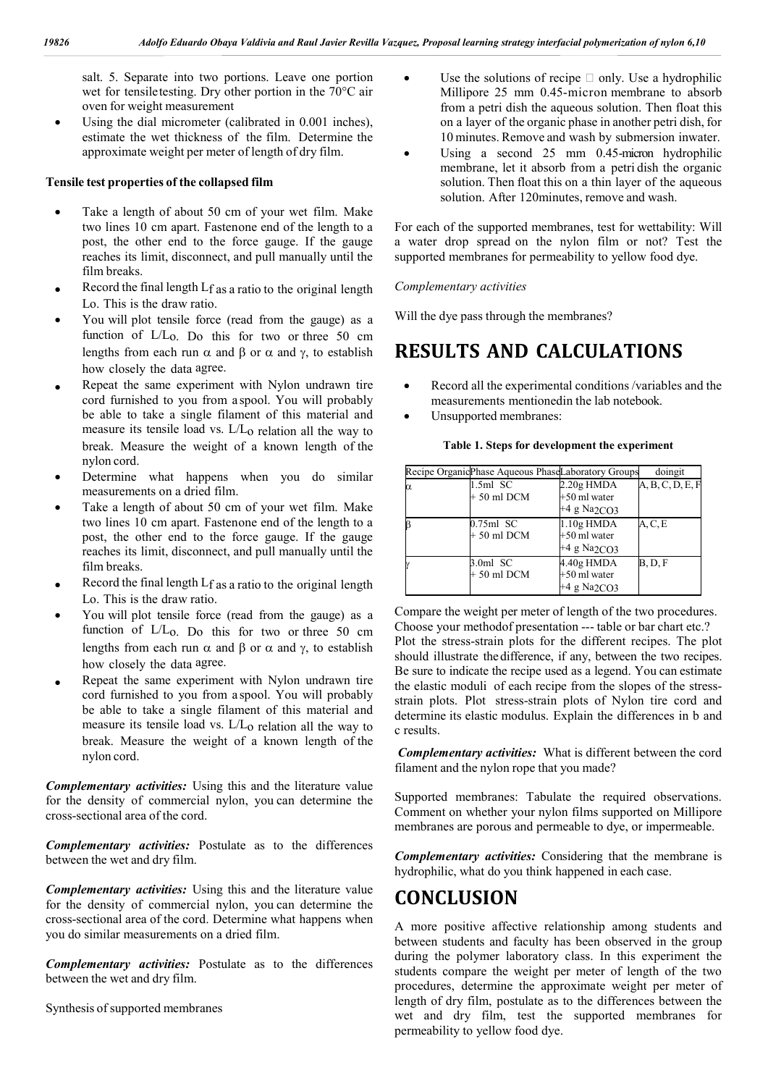salt. 5. Separate into two portions. Leave one portion wet for tensiletesting. Dry other portion in the 70°C air oven for weight measurement

 Using the dial micrometer (calibrated in 0.001 inches), estimate the wet thickness of the film. Determine the approximate weight per meter of length of dry film.

## **Tensile test properties of the collapsed film**

- Take a length of about 50 cm of your wet film. Make two lines 10 cm apart. Fastenone end of the length to a post, the other end to the force gauge. If the gauge reaches its limit, disconnect, and pull manually until the film breaks.
- Record the final length Lf as a ratio to the original length Lo. This is the draw ratio.
- You will plot tensile force (read from the gauge) as a function of L/Lo. Do this for two or three 50 cm lengths from each run  $\alpha$  and  $\beta$  or  $\alpha$  and  $\gamma$ , to establish how closely the data agree.
- Repeat the same experiment with Nylon undrawn tire cord furnished to you from a spool. You will probably be able to take a single filament of this material and measure its tensile load vs. L/Lo relation all the way to break. Measure the weight of a known length of the nylon cord.
- Determine what happens when you do similar measurements on a dried film.
- Take a length of about 50 cm of your wet film. Make two lines 10 cm apart. Fastenone end of the length to a post, the other end to the force gauge. If the gauge reaches its limit, disconnect, and pull manually until the film breaks.
- Record the final length Lf as a ratio to the original length Lo. This is the draw ratio.
- You will plot tensile force (read from the gauge) as a function of L/Lo. Do this for two or three 50 cm lengths from each run  $\alpha$  and  $\beta$  or  $\alpha$  and  $\gamma$ , to establish how closely the data agree.
- Repeat the same experiment with Nylon undrawn tire cord furnished to you from a spool. You will probably be able to take a single filament of this material and measure its tensile load vs. L/Lo relation all the way to break. Measure the weight of a known length of the nylon cord.

*Complementary activities:* Using this and the literature value for the density of commercial nylon, you can determine the cross-sectional area of the cord.

*Complementary activities:* Postulate as to the differences between the wet and dry film.

*Complementary activities:* Using this and the literature value for the density of commercial nylon, you can determine the cross-sectional area of the cord. Determine what happens when you do similar measurements on a dried film.

*Complementary activities:* Postulate as to the differences between the wet and dry film.

Synthesis of supported membranes

- $\bullet$  Use the solutions of recipe  $\Box$  only. Use a hydrophilic Millipore 25 mm 0.45-micron membrane to absorb from a petri dish the aqueous solution. Then float this on a layer of the organic phase in another petri dish, for 10 minutes. Remove and wash by submersion inwater.
- Using a second 25 mm 0.45-micron hydrophilic membrane, let it absorb from a petri dish the organic solution. Then float this on a thin layer of the aqueous solution. After 120minutes, remove and wash.

For each of the supported membranes, test for wettability: Will a water drop spread on the nylon film or not? Test the supported membranes for permeability to yellow food dye.

#### *Complementary activities*

Will the dye pass through the membranes?

## **RESULTS AND CALCULATIONS**

- Record all the experimental conditions /variables and the measurements mentionedin the lab notebook.
- Unsupported membranes:

#### **Table 1. Steps for development the experiment**

|   | Recipe Organic Phase Aqueous Phase Laboratory Groups |                                                             | doingit          |
|---|------------------------------------------------------|-------------------------------------------------------------|------------------|
| α | $1.5ml$ SC<br>$+50$ ml DCM                           | $2.20g$ HMDA<br>+50 ml water<br>$+4$ g Na <sub>2CO3</sub>   | A, B, C, D, E, F |
|   | $0.75$ ml SC<br>$+50$ ml DCM                         | $1.10g$ HMDA<br>+50 ml water<br>$+4$ g Na <sub>2CO3</sub>   | A, C, E          |
|   | $3.0ml$ SC<br>$+50$ ml DCM                           | $4.40g$ HMDA<br>$+50$ ml water<br>$+4$ g Na <sub>2CO3</sub> | B, D, F          |

Compare the weight per meter of length of the two procedures. Choose your methodof presentation --- table or bar chart etc.? Plot the stress-strain plots for the different recipes. The plot should illustrate thedifference, if any, between the two recipes. Be sure to indicate the recipe used as a legend. You can estimate the elastic moduli of each recipe from the slopes of the stressstrain plots. Plot stress-strain plots of Nylon tire cord and determine its elastic modulus. Explain the differences in b and c results.

*Complementary activities:* What is different between the cord filament and the nylon rope that you made?

Supported membranes: Tabulate the required observations. Comment on whether your nylon films supported on Millipore membranes are porous and permeable to dye, or impermeable.

*Complementary activities:* Considering that the membrane is hydrophilic, what do you think happened in each case.

## **CONCLUSION**

A more positive affective relationship among students and between students and faculty has been observed in the group during the polymer laboratory class. In this experiment the students compare the weight per meter of length of the two procedures, determine the approximate weight per meter of length of dry film, postulate as to the differences between the wet and dry film, test the supported membranes for permeability to yellow food dye.